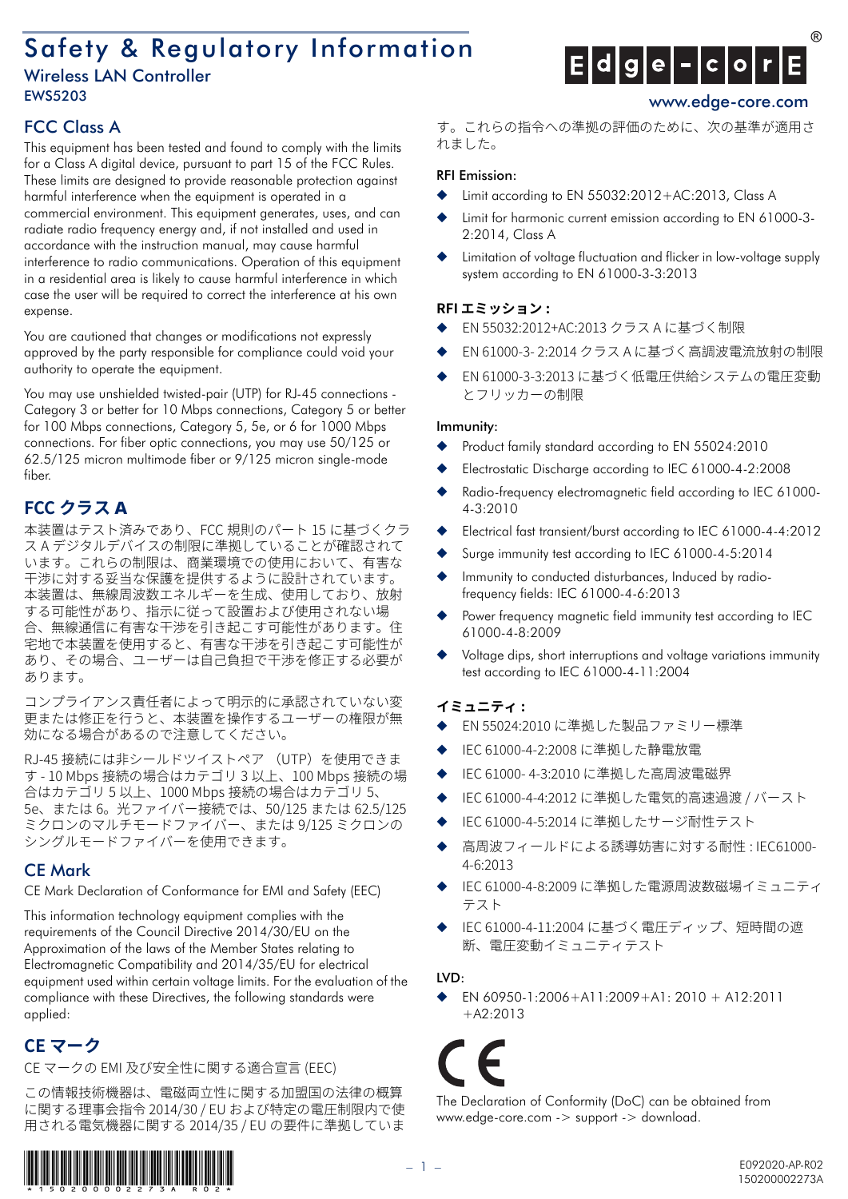# Safety & Regulatory Information

## Wireless LAN Controller EWS5203 www.edge-core.com



This equipment has been tested and found to comply with the limits for a Class A digital device, pursuant to part 15 of the FCC Rules. These limits are designed to provide reasonable protection against harmful interference when the equipment is operated in a commercial environment. This equipment generates, uses, and can radiate radio frequency energy and, if not installed and used in accordance with the instruction manual, may cause harmful interference to radio communications. Operation of this equipment in a residential area is likely to cause harmful interference in which case the user will be required to correct the interference at his own expense.

You are cautioned that changes or modifications not expressly approved by the party responsible for compliance could void your authority to operate the equipment.

You may use unshielded twisted-pair (UTP) for RJ-45 connections - Category 3 or better for 10 Mbps connections, Category 5 or better for 100 Mbps connections, Category 5, 5e, or 6 for 1000 Mbps connections. For fiber optic connections, you may use 50/125 or 62.5/125 micron multimode fiber or 9/125 micron single-mode fiber.

## **FCC クラス A**

本装置はテスト済みであり、FCC 規則のパート 15 に基づくクラ ス A デジタルデバイスの制限に準拠していることが確認されて います。これらの制限は、商業環境での使用において、有害な 干渉に対する妥当な保護を提供するように設計されています。 本装置は、無線周波数エネルギーを生成、使用しており、放射 する可能性があり、指示に従って設置および使用されない場 合、無線通信に有害な干渉を引き起こす可能性があります。住 宅地で本装置を使用すると、有害な干渉を引き起こす可能性が あり、その場合、ユーザーは自己負担で干渉を修正する必要が あります。

コンプライアンス責任者によって明示的に承認されていない変 更または修正を⾏うと、本装置を操作するユーザーの権限が無 効になる場合があるので注意してください。

RJ-45 接続には非シールドツイストペア (UTP) を使用できま す - 10 Mbps 接続の場合はカテゴリ 3 以上、100 Mbps 接続の場 合はカテゴリ 5 以上、1000 Mbps 接続の場合はカテゴリ 5、 e、または 6。光ファイバー接続では、50/125 または 62.5/125 ミクロンのマルチモードファイバー、または 9/125 ミクロンの シングルモードファイバーを使用できます。

## CE Mark

CE Mark Declaration of Conformance for EMI and Safety (EEC)

This information technology equipment complies with the requirements of the Council Directive 2014/30/EU on the Approximation of the laws of the Member States relating to Electromagnetic Compatibility and 2014/35/EU for electrical equipment used within certain voltage limits. For the evaluation of the compliance with these Directives, the following standards were applied:

## **CE マーク**

CE マークの EMI 及び安全性に関する適合宣言 (EEC)

この情報技術機器は、電磁両立性に関する加盟国の法律の概算 に関する理事会指令 2014/30 / EU および特定の電圧制限内で使 用される電気機器に関する 2014/35 / EU の要件に準拠していま





す。これらの指令への準拠の評価のために、次の基準が適用さ れました。

## RFI Emission:

- Limit according to EN  $55032:2012+AC:2013$ , Class A
- Limit for harmonic current emission according to EN 61000-3-2:2014, Class A
- Limitation of voltage fluctuation and flicker in low-voltage supply system according to EN 61000-3-3:2013

## **RFI エミッション :**

- EN 55032:2012+AC:2013 クラス A に基づく制限
- EN 61000-3- 2:2014 クラス A に基づく高調波電流放射の制限
- EN 61000-3-3:2013 に基づく低電圧供給システムの電圧変動 とフリッカーの制限

## Immunity:

- Product family standard according to EN 55024:2010
- Electrostatic Discharge according to IEC 61000-4-2:2008
- Radio-frequency electromagnetic field according to IEC 61000-4-3:2010
- Electrical fast transient/burst according to IEC 61000-4-4:2012
- Surge immunity test according to IEC 61000-4-5:2014
- Immunity to conducted disturbances, Induced by radiofrequency fields: IEC 61000-4-6:2013
- Power frequency magnetic field immunity test according to IEC 61000-4-8:2009
- Voltage dips, short interruptions and voltage variations immunity test according to IEC 61000-4-11:2004

## **イミュニティ :**

- EN 55024:2010 に準拠した製品ファミリー標準
- IEC 61000-4-2:2008 に準拠した静電放電
- IEC 61000-4-3:2010 に準拠した高周波電磁界
- IEC 61000-4-4:2012 に準拠した電気的高速過渡 / バースト
- IEC 61000-4-5:2014 に準拠したサージ耐性テスト
- 高周波フィールドによる誘導妨害に対する耐性 : IEC61000-4-6:2013
- IEC 61000-4-8:2009 に準拠した電源周波数磁場イミュニティ テスト
- IEC 61000-4-11:2004 に基づく電圧ディップ、短時間の遮 断、電圧変動イミュニティテスト

## LVD:

◆ EN 60950-1:2006+A11:2009+A1: 2010 + A12:2011  $+$ A2 $\cdot$ 2013

The Declaration of Conformity (DoC) can be obtained from www.edge-core.com -> support -> download.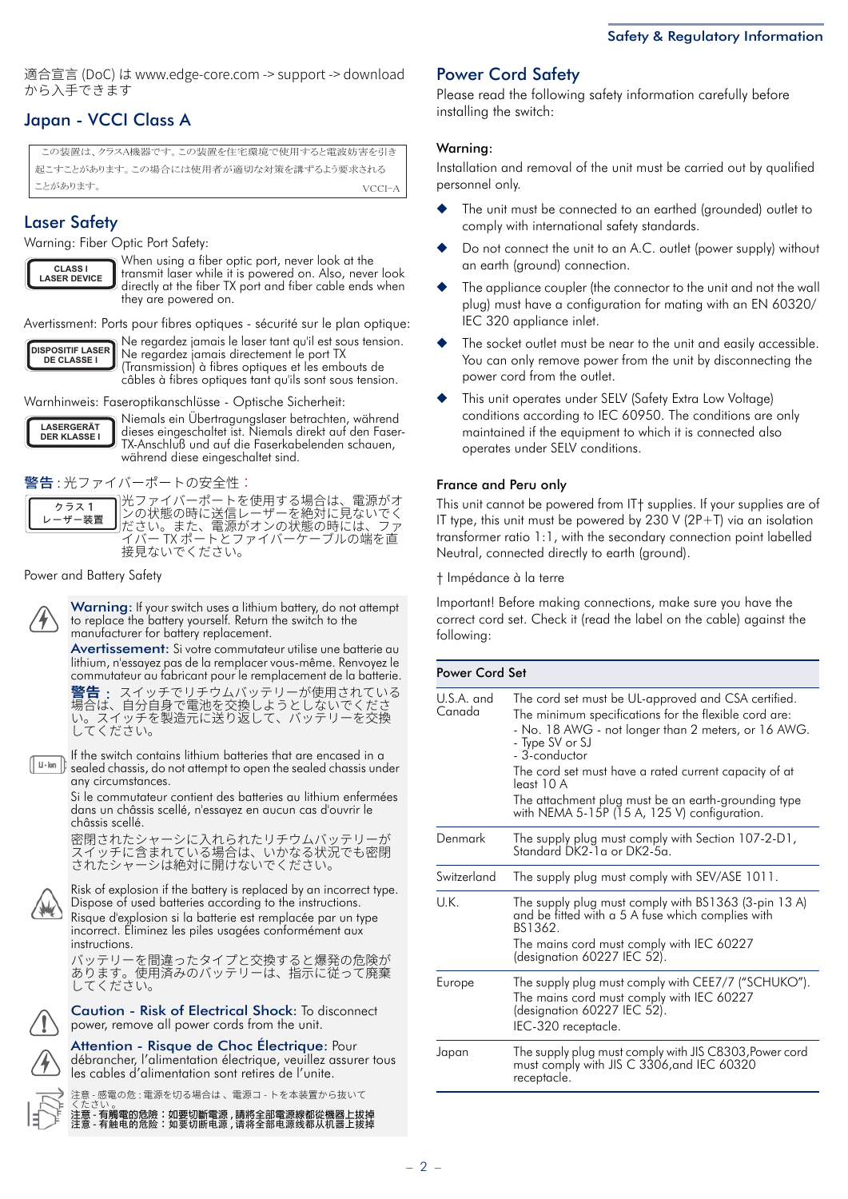適合宣⾔ (DoC) は www.edge-core.com -> support -> download から入手できます

## Japan - VCCI Class A

この装置は、クラスA機器です。この装置を住宅環境で使用すると電波妨害を引き 記‐すː ▶ 松あります この場合にけ使用者が適切か対策を講ずろ♪う要求される ことがあります。

## Laser Safety

Warning: Fiber Optic Port Safety:

**CLASS I LASER DEVICE**

When using a fiber optic port, never look at the transmit laser while it is powered on. Also, never look directly at the fiber TX port and fiber cable ends when they are powered on.

Avertissment: Ports pour fibres optiques - sécurité sur le plan optique:



Ne regardez jamais le laser tant qu'il est sous tension. Ne regardez jamais directement le port TX (Transmission) à fibres optiques et les embouts de câbles à fibres optiques tant qu'ils sont sous tension.

Warnhinweis: Faseroptikanschlüsse - Optische Sicherheit:



Niemals ein Übertragungslaser betrachten, während dieses eingeschaltet ist. Niemals direkt auf den Faser-TX-Anschluß und auf die Faserkabelenden schauen, während diese eingeschaltet sind.

警告 : 光ファイバーポートの安全性:

**ɜʖɦ熄 –ザー装置** 

光ファイバーポートを使用する場合は、電源がオ ンの状態の時に送信レーザーを絶对に見ないでく ださい。また、電源がオンの状態の時には、ファ イバー TX ポートとファイバーケーブルの端を直 接見ないでください。

Power and Battery Safety

Warning: If your switch uses a lithium battery, do not attempt to replace the battery yourself. Return the switch to the manufacturer for battery replacement.

Avertissement: Si votre commutateur utilise une batterie au lithium, n'essayez pas de la remplacer vous-même. Renvoyez le commutateur au fabricant pour le remplacement de la batterie.

**警告** : スイッチでリチウムバッテリーが使用されている 場合は、自分自身で電池を交換しようとしないでくださ い。スイッチを製造元に送り返して、バッテリーを交換 してください。

If the switch contains lithium batteries that are encased in a  $L - \text{lon}$ sealed chassis, do not attempt to open the sealed chassis under any circumstances.

Si le commutateur contient des batteries au lithium enfermées dans un châssis scellé, n'essayez en aucun cas d'ouvrir le châssis scellé.

密閉されたシャーシに入れられたリチウムバッテリーが スイッチに含まれている場合は、いかなる状況でも密閉 されたシャーシは絶対に開けないでください。

Risk of explosion if the battery is replaced by an incorrect type. Dispose of used batteries according to the instructions. Risque d'explosion si la batterie est remplacée par un type incorrect. Éliminez les piles usagées conformément aux

instructions. ハッテリーを間違ったタイプと父換すると爆発の危険か<br>よりエリーを間違って、 あります。使用済みのハッテリーは、指示に従って廃棄<br>-してください。

Caution - Risk of Electrical Shock: To disconnect power, remove all power cords from the unit.



Attention - Risque de Choc Électrique: Pour débrancher, l'alimentation électrique, veuillez assurer tous les cables d'alimentation sont retires de l'unite.

注意 - 感電の危 : 電源を切る場合は 、 電源コ - トを本装置から抜いて

くたさい 。 **注意 - 有觸電的危險:如要切斷電源 , 請將全部電源線都從機器上拔掉** 注意 - 有触电的危险:如要切断电源 , 请将全部电源线都从机器上拔掉

## Power Cord Safety

Please read the following safety information carefully before installing the switch:

### Warning:

Installation and removal of the unit must be carried out by qualified personnel only.

- The unit must be connected to an earthed (grounded) outlet to comply with international safety standards.
- Do not connect the unit to an A.C. outlet (power supply) without an earth (ground) connection.
- The appliance coupler (the connector to the unit and not the wall plug) must have a configuration for mating with an EN 60320/ IEC 320 appliance inlet.
- The socket outlet must be near to the unit and easily accessible. You can only remove power from the unit by disconnecting the power cord from the outlet.
- This unit operates under SELV (Safety Extra Low Voltage) conditions according to IEC 60950. The conditions are only maintained if the equipment to which it is connected also operates under SELV conditions.

### France and Peru only

This unit cannot be powered from IT† supplies. If your supplies are of IT type, this unit must be powered by 230 V (2P+T) via an isolation transformer ratio 1:1, with the secondary connection point labelled Neutral, connected directly to earth (ground).

† Impédance à la terre

Important! Before making connections, make sure you have the correct cord set. Check it (read the label on the cable) against the following:

| Power Cord Set       |                                                                                                                                                                                                                                                                                                                                                                                         |  |  |  |
|----------------------|-----------------------------------------------------------------------------------------------------------------------------------------------------------------------------------------------------------------------------------------------------------------------------------------------------------------------------------------------------------------------------------------|--|--|--|
| U.S.A. and<br>Canada | The cord set must be UL-approved and CSA certified.<br>The minimum specifications for the flexible cord are:<br>- No. 18 AWG - not longer than 2 meters, or 16 AWG.<br>- Type SV or SJ<br>- 3-conductor<br>The cord set must have a rated current capacity of at<br>least 10 A<br>The attachment plug must be an earth-grounding type<br>with NEMA 5-15P $(15 A, 125 V)$ configuration. |  |  |  |
| Denmark              | The supply plug must comply with Section 107-2-D1,<br>Standard DK2-1a or DK2-5a.                                                                                                                                                                                                                                                                                                        |  |  |  |
| Switzerland          | The supply plug must comply with SEV/ASE 1011.                                                                                                                                                                                                                                                                                                                                          |  |  |  |
| U.K.                 | The supply plug must comply with BS1363 (3-pin 13 A)<br>and be fitted with a 5 A fuse which complies with<br>BS1362.<br>The mains cord must comply with IEC 60227<br>(designation 60227 IEC 52).                                                                                                                                                                                        |  |  |  |
| Europe               | The supply plug must comply with CEE7/7 ("SCHUKO").<br>The mains cord must comply with IEC 60227<br>(designation 60227 IEC 52).<br>IEC-320 receptacle.                                                                                                                                                                                                                                  |  |  |  |
| Japan                | The supply plug must comply with JIS C8303, Power cord<br>must comply with JIS C 3306, and IEC 60320<br>receptacle.                                                                                                                                                                                                                                                                     |  |  |  |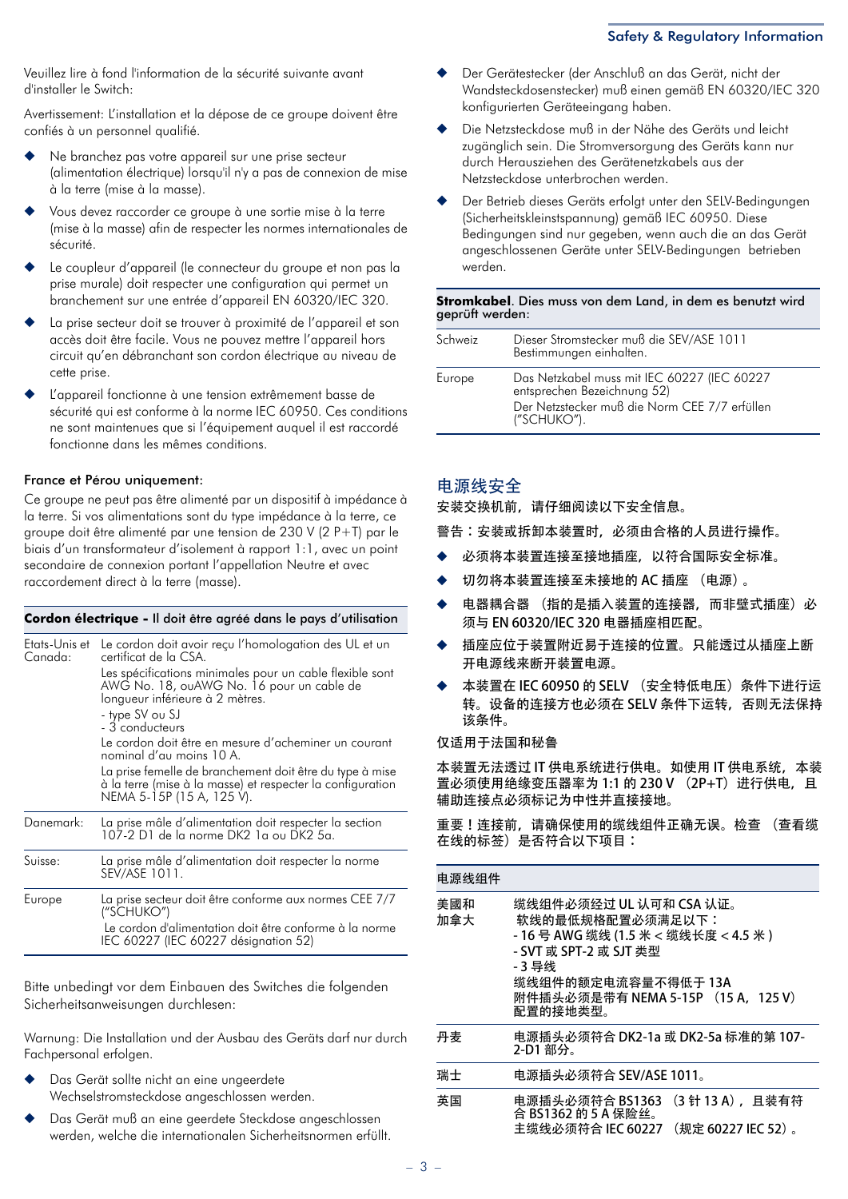#### Safety & Regulatory Information

Veuillez lire à fond l'information de la sécurité suivante avant d'installer le Switch:

Avertissement: L'installation et la dépose de ce groupe doivent être confiés à un personnel qualifié.

- Ne branchez pas votre appareil sur une prise secteur (alimentation électrique) lorsqu'il n'y a pas de connexion de mise à la terre (mise à la masse).
- Vous devez raccorder ce groupe à une sortie mise à la terre (mise à la masse) afin de respecter les normes internationales de sécurité.
- Le coupleur d'appareil (le connecteur du groupe et non pas la prise murale) doit respecter une configuration qui permet un branchement sur une entrée d'appareil EN 60320/IEC 320.
- La prise secteur doit se trouver à proximité de l'appareil et son accès doit être facile. Vous ne pouvez mettre l'appareil hors circuit qu'en débranchant son cordon électrique au niveau de cette prise.
- L'appareil fonctionne à une tension extrêmement basse de sécurité qui est conforme à la norme IEC 60950. Ces conditions ne sont maintenues que si l'équipement auquel il est raccordé fonctionne dans les mêmes conditions.

### France et Pérou uniquement:

Ce groupe ne peut pas être alimenté par un dispositif à impédance à la terre. Si vos alimentations sont du type impédance à la terre, ce groupe doit être alimenté par une tension de 230 V (2 P+T) par le biais d'un transformateur d'isolement à rapport 1:1, avec un point secondaire de connexion portant l'appellation Neutre et avec raccordement direct à la terre (masse).

#### **Cordon électrique -** Il doit être agréé dans le pays d'utilisation

| Etats-Unis et<br>Canada: | Le cordon doit avoir reçu l'homologation des UL et un<br>certificat de la CSA.<br>Les spécifications minimales pour un cable flexible sont<br>AWG No. 18, ouAWG No. 16 pour un cable de<br>longueur inférieure à 2 mètres.<br>- type SV ou SJ<br>- 3 conducteurs<br>Le cordon doit être en mesure d'acheminer un courant<br>nominal d'au moins 10 A.<br>La prise femelle de branchement doit être du type à mise<br>à la terre (mise à la masse) et respecter la configuration<br>NEMA 5-15P (15 A, 125 V). |
|--------------------------|-------------------------------------------------------------------------------------------------------------------------------------------------------------------------------------------------------------------------------------------------------------------------------------------------------------------------------------------------------------------------------------------------------------------------------------------------------------------------------------------------------------|
| Danemark:                | La prise mâle d'alimentation doit respecter la section<br>107-2 D1 de la norme DK2 1a ou DK2 5a.                                                                                                                                                                                                                                                                                                                                                                                                            |
| Suisse:                  | La prise mâle d'alimentation doit respecter la norme<br>SEV/ASE 1011.                                                                                                                                                                                                                                                                                                                                                                                                                                       |
| Europe                   | La prise secteur doit être conforme aux normes CEE 7/7<br>("SCHUKO")<br>Le cordon d'alimentation doit être conforme à la norme<br>IEC 60227 (IEC 60227 désignation 52)                                                                                                                                                                                                                                                                                                                                      |

Bitte unbedingt vor dem Einbauen des Switches die folgenden Sicherheitsanweisungen durchlesen:

Warnung: Die Installation und der Ausbau des Geräts darf nur durch Fachpersonal erfolgen.

- Das Gerät sollte nicht an eine ungeerdete Wechselstromsteckdose angeschlossen werden.
- Das Gerät muß an eine geerdete Steckdose angeschlossen werden, welche die internationalen Sicherheitsnormen erfüllt.
- Der Gerätestecker (der Anschluß an das Gerät, nicht der Wandsteckdosenstecker) muß einen gemäß EN 60320/IEC 320 konfigurierten Geräteeingang haben.
- Die Netzsteckdose muß in der Nähe des Geräts und leicht zugänglich sein. Die Stromversorgung des Geräts kann nur durch Herausziehen des Gerätenetzkabels aus der Netzsteckdose unterbrochen werden.
- Der Betrieb dieses Geräts erfolgt unter den SELV-Bedingungen (Sicherheitskleinstspannung) gemäß IEC 60950. Diese Bedingungen sind nur gegeben, wenn auch die an das Gerät angeschlossenen Geräte unter SELV-Bedingungen betrieben werden.

### **Stromkabel**. Dies muss von dem Land, in dem es benutzt wird geprüft werden:

| Schweiz | Dieser Stromstecker muß die SEV/ASE 1011<br>Bestimmungen einhalten.                                                                        |
|---------|--------------------------------------------------------------------------------------------------------------------------------------------|
| Europe  | Das Netzkabel muss mit IEC 60227 (IEC 60227<br>entsprechen Bezeichnung 52)<br>Der Netzstecker muß die Norm CEE 7/7 erfüllen<br>("SCHUKO"). |

### 电源线安全

安装交换机前,请仔细阅读以下安全信息。

警告:安装或拆卸本装置时,必须由合格的人员进行操作。

- 必须将本装置连接至接地插座,以符合国际安全标准。
- 切勿将本装置连接至未接地的 AC 插座 (电源)。
- 电器耦合器 (指的是插入装置的连接器, 而非壁式插座) 必 须与 EN 60320/IEC 320 电器插座相匹配。
- 插座应位于装置附近易于连接的位置。只能透过从插座上断 开电源线来断开装置电源。
- 本装置在 IEC 60950 的 SELV (安全特低电压) 条件下进行运 转。设备的连接方也必须在 SELV 条件下运转, 否则无法保持 该条件。

仅适用于法国和秘鲁

本装置无法透过 IT 供电系统进行供电。如使用 IT 供电系统, 本装 置必须使用绝缘变压器率为 1:1 的 230 V (2P+T) 进行供电, 且 辅助连接点必须标记为中性并直接接地。

重要!连接前,请确保使用的缆线组件正确无误。检查 (查看缆 在线的标签)是否符合以下项目:

| 电源线组件      |                                                                                                                                                                        |  |  |  |  |
|------------|------------------------------------------------------------------------------------------------------------------------------------------------------------------------|--|--|--|--|
| 美國和<br>加拿大 | 缆线组件必须经过 UL 认可和 CSA 认证。<br>软线的最低规格配置必须满足以下:<br>- 16 号 AWG 缆线 (1.5 米 < 缆线长度 < 4.5 米 )<br>- 3 导线<br>缆线组件的额定电流容量不得低于 13A<br>附件插头必须是带有 NEMA 5-15P (15 A,125 V)<br>配置的接地类型。 |  |  |  |  |
| 丹麦         | 电源插头必须符合 DK2-1a 或 DK2-5a 标准的第 107-<br>2-D1 部分。                                                                                                                         |  |  |  |  |
| 瑞士         | 电源插头必须符合 SEV/ASE 1011。                                                                                                                                                 |  |  |  |  |
| 英国         | (3 针 13 A), 且装有符<br>电源插头必须符合 BS1363<br>合 BS1362 的 5 A 保险丝。<br>(规定 60227 IEC 52)。<br>主缆线必须符合 IEC 60227                                                                  |  |  |  |  |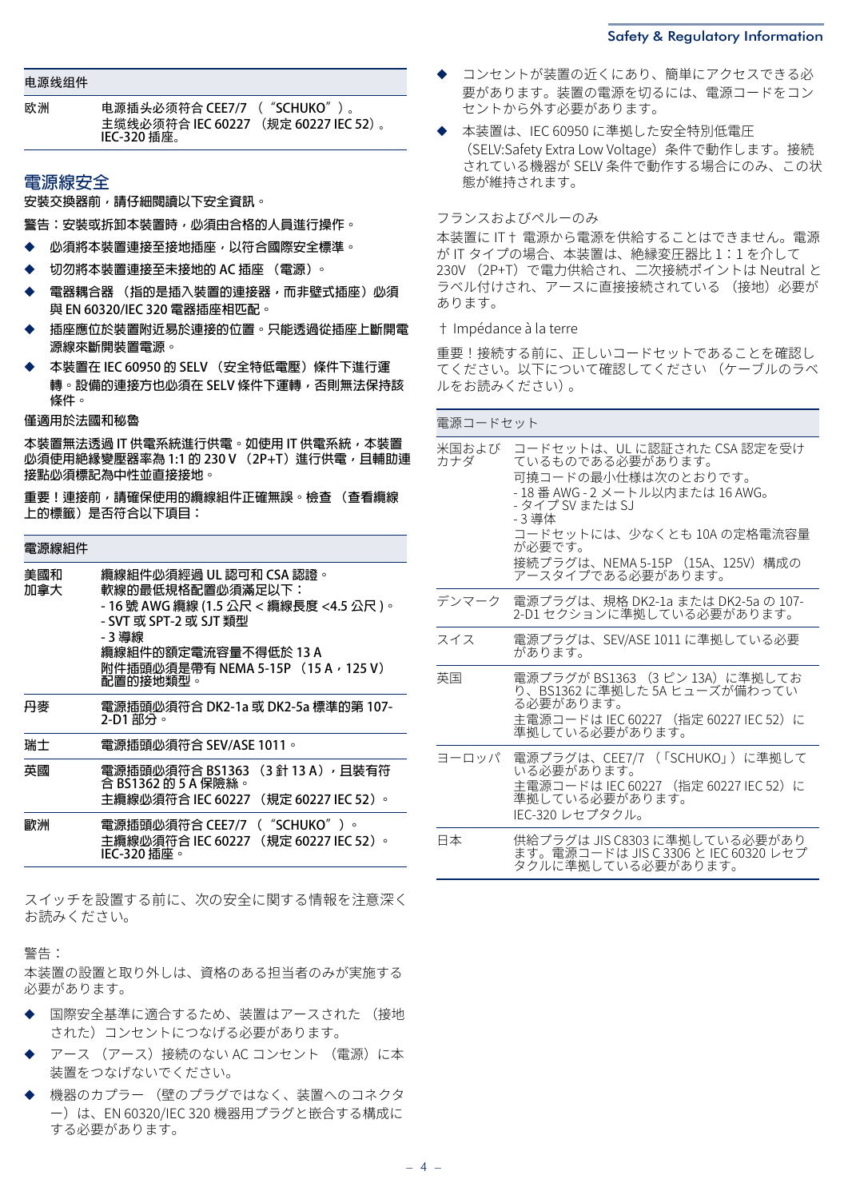#### 电源线组件

| 欧洲 | 电源插头必须符合 CEE7/7 ("SCHUKO")。          |  |
|----|--------------------------------------|--|
|    | 主缆线必须符合 IEC 60227 (规定 60227 IEC 52)。 |  |
|    | IEC-320 插座。                          |  |

## **電源線安全**

**安裝交換器前,請仔細閱讀以下安全資訊。** 

**警告:安裝或拆卸本裝置時,必須由合格的人員進行操作。**

- ◆ **必須將本裝置連接至接地插座,以符合國際安全標準。**
- ◆ **切勿將本裝置連接至未接地的 AC 插座 (電源)。**
- **電器耦合器 (指的是插入裝置的連接器,而非壁式插座) 必須 與 EN 60320/IEC 320 電器插座相匹配。**
- ◆ **插座應位於裝置附近易於連接的位置。只能透過從插座上斷開電 源線來斷開裝置電源。**
- ◆ **本裝置在 IEC 60950 的 SELV (安全特低電壓)條件下進行運 轉。設備的連接方也必須在 SELV 條件下運轉,否則無法保持該 條件。**

#### **僅適用於法國和秘魯**

本裝置無法透過 IT 供電系統進行供電。如使用 IT 供電系統, 本裝置 **必須使用絕緣變壓器率為 1:1 的 230 V (2P+T)進行供電,且輔助連 接點必須標記為中性並直接接地。** 

**重要!連接前,請確保使用的纜線組件正確無誤。檢查 (查看纜線 上的標籤)是否符合以下項目:** 

| 電源線組件      |                                                                                                                                                                                                     |
|------------|-----------------------------------------------------------------------------------------------------------------------------------------------------------------------------------------------------|
| 美國和<br>加拿大 | 纜線組件必須經過 UL 認可和 CSA 認證。<br>軟線的最低規格配置必須滿足以下:<br>- 16 號 AWG 纜線 (1.5 公尺 < 纜線長度 <4.5 公尺 )。<br>- SVT 或 SPT-2 或 SJT 類型<br>- 3 導線<br>纜線組件的額定電流容量不得低於 13 A<br>附件插頭必須是帶有 NEMA 5-15P (15 A,125 V)<br>配置的接地類型。 |
| 丹麥         | 電源插頭必須符合 DK2-1a 或 DK2-5a 標準的第 107-<br>2-D1 部分。                                                                                                                                                      |
| 瑞士         | 電源插頭必須符合 SEV/ASE 1011。                                                                                                                                                                              |
| 英國         | (3 針 13 A),且裝有符<br>電源插頭必須符合 BS1363<br>合 BS1362 的 5 A 保險絲。<br>主纜線必須符合 IEC 60227<br>(規定 60227 IEC 52)。                                                                                                |
| 歐洲         | 電源插頭必須符合 CEE7/7 ("SCHUKO")。<br>主纜線必須符合 IEC 60227 (規定 60227 IEC 52)。<br>IEC-320 插座。                                                                                                                  |

スイッチを設置する前に、次の安全に関する情報を注意深く お読みください。

警告:

本装置の設置と取り外しは、資格のある担当者のみが実施する 必要があります。

- ◆ 国際安全基準に適合するため、装置はアースされた (接地 された)コンセントにつなげる必要があります。
- アース (アース)接続のない AC コンセント (電源)に本 装置をつなげないでください。
- 機器のカプラー (壁のプラグではなく、装置へのコネクタ ー)は、EN /IEC 320 機器用プラグと嵌合する構成に する必要があります。
- コンセントが装置の近くにあり、簡単にアクセスできる必 要があります。装置の電源を切るには、電源コードをコン セントから外す必要があります。
- ◆ 本装置は、IEC 60950 に準拠した安全特別低電圧 (SELV:Safety Extra Low Voltage)条件で動作します。接続 されている機器が SELV 条件で動作する場合にのみ、この状 態が維持されます。

#### フランスおよびペルーのみ

本装置に IT† 電源から電源を供給することはできません。電源 が IT タイプの場合、本装置は、絶縁変圧器比 1:1 を介して 230V (2P+T) で電力供給され、二次接続ポイントは Neutral と ラベル付けされ、アースに直接接続されている (接地)必要が あります。

† Impédance à la terre

重要!接続する前に、正しいコードセットであることを確認し てください。以下について確認してください (ケーブルのラベ ルをお読みください)。

| 電源コードセット     |                                                                                                                                                                                                                                         |
|--------------|-----------------------------------------------------------------------------------------------------------------------------------------------------------------------------------------------------------------------------------------|
| 米国および<br>カナダ | コードセットは、UL に認証された CSA 認定を受け<br>ているものである必要があります。<br>可撓コードの最小仕様は次のとおりです。<br>- 18番 AWG - 2 メートル以内または 16 AWG。<br>- タイプ SV または SJ<br>- 3 導体<br>コードセットには、少なくとも 10A の定格電流容量<br>が必要です。<br>接続プラグは、NEMA 5-15P (15A、125V) 構成の<br>アースタイプである必要があります。 |
|              | デンマーク 電源プラグは、規格 DK2-1a または DK2-5a の 107-<br>2-D1 セクションに準拠している必要があります。                                                                                                                                                                   |
| スイス          | 電源プラグは、SEV/ASE 1011 に準拠している必要<br>があります。                                                                                                                                                                                                 |
| 英国           | 電源プラグが BS1363 (3 ピン 13A)に準拠してお<br>り、BS1362 に準拠した 5A ヒューズが備わってい<br>る必要があります。<br>主電源コードは IEC 60227 (指定 60227 IEC 52)に<br>準拠している必要があります。                                                                                                   |
| ヨーロッパ        | 電源プラグは、CEE7/7 (「SCHUKO」)に準拠して<br>いる必要があります。<br>主電源コードは IEC 60227 (指定 60227 IEC 52)に<br>準拠している必要があります。<br>IEC-320 レセプタクル。                                                                                                                |
| 日本           | 供給プラグは JIS C8303 に準拠している必要があり<br>ます。電源コードは JIS C 3306 と IEC 60320 レセプ<br>タクルに準拠している必要があります。                                                                                                                                             |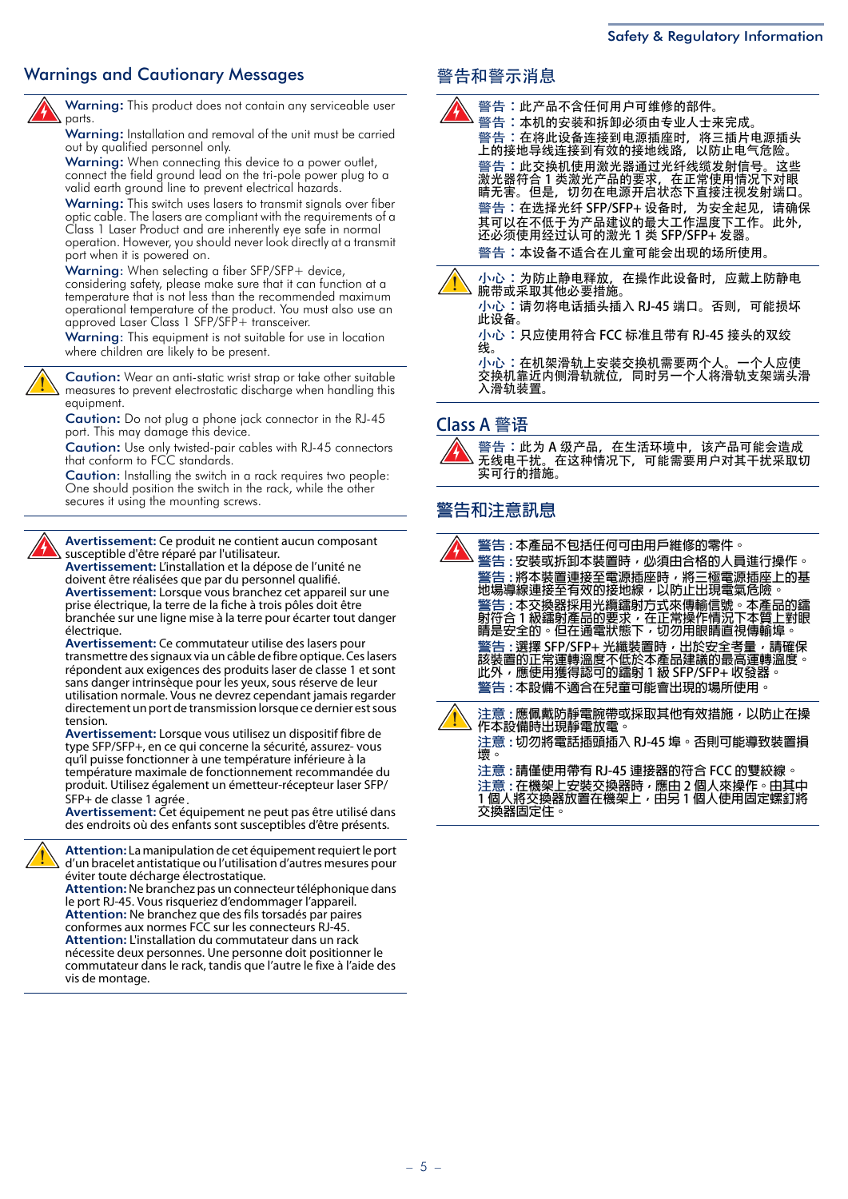## Warnings and Cautionary Messages **Warnings and Cautionary Messages Warnings** 警告和警示消息



Warning**:** This product does not contain any serviceable user parts

Warning**:** Installation and removal of the unit must be carried out by qualified personnel only.

Warning**:** When connecting this device to a power outlet, connect the field ground lead on the tri-pole power plug to a valid earth ground line to prevent electrical hazards.

Warning**:** This switch uses lasers to transmit signals over fiber optic cable. The lasers are compliant with the requirements of a Class 1 Laser Product and are inherently eye safe in normal operation. However, you should never look directly at a transmit port when it is powered on.

Warning: When selecting a fiber SFP/SFP+ device, considering safety, please make sure that it can function at a temperature that is not less than the recommended maximum operational temperature of the product. You must also use an approved Laser Class 1 SFP/SFP+ transceiver.

Warning: This equipment is not suitable for use in location where children are likely to be present.

Caution**:** Wear an anti-static wrist strap or take other suitable measures to prevent electrostatic discharge when handling this equipment.

Caution**:** Do not plug a phone jack connector in the RJ-45 port. This may damage this device.

Caution**:** Use only twisted-pair cables with RJ-45 connectors that conform to FCC standards.

Caution: Installing the switch in a rack requires two people: One should position the switch in the rack, while the other secures it using the mounting screws.



**Avertissement:** Ce produit ne contient aucun composant susceptible d'être réparé par l'utilisateur.

**Avertissement:** L'installation et la dépose de l'unité ne doivent être réalisées que par du personnel qualifié. **Avertissement:** Lorsque vous branchez cet appareil sur une prise électrique, la terre de la fiche à trois pôles doit être branchée sur une ligne mise à la terre pour écarter tout danger électrique.

**Avertissement:** Ce commutateur utilise des lasers pour transmettre des signaux via un câble de fibre optique. Ces lasers répondent aux exigences des produits laser de classe 1 et sont sans danger intrinsèque pour les yeux, sous réserve de leur utilisation normale. Vous ne devrez cependant jamais regarder directement un port de transmission lorsque ce dernier est sous tension.

**Avertissement:** Lorsque vous utilisez un dispositif fibre de type SFP/SFP+, en ce qui concerne la sécurité, assurez- vous qu'il puisse fonctionner à une température inférieure à la température maximale de fonctionnement recommandée du produit. Utilisez également un émetteur-récepteur laser SFP/ SFP+ de classe 1 agrée.

**Avertissement:** Cet équipement ne peut pas être utilisé dans des endroits où des enfants sont susceptibles d'être présents.

**Attention:** La manipulation de cet équipement requiert le port d'un bracelet antistatique ou l'utilisation d'autres mesures pour éviter toute décharge électrostatique.

**Attention:** Ne branchez pas un connecteur téléphonique dans le port RJ-45. Vous risqueriez d'endommager l'appareil. **Attention:** Ne branchez que des fils torsadés par paires conformes aux normes FCC sur les connecteurs RJ-45. **Attention:** L'installation du commutateur dans un rack nécessite deux personnes. Une personne doit positionner le commutateur dans le rack, tandis que l'autre le fixe à l'aide des vis de montage.

警告:此产品不含任何用户可维修的部件。 警告:本机的安装和拆卸必须由专业人士来完成。 警告:在将此设备连接到电源插座时,将三插片电源插头 上的接地导线连接到有效的接地线路,以防止电气危险。 警告:此交换机使用激光器通过光纤线缆发射信号。这些 激光器符合 1 类激光产品的要求,在正常使用情况下对眼 睛无害。但是,切勿在电源开启状态下直接注视发射端口。 警告: 在选择光纤 SFP/SFP+ 设备时, 为安全起见, 请确保 其可以在不低于为产品建议的最大工作温度下工作。此外, 还必须使用经过认可的激光 1 类 SFP/SFP+ 发器。 警告:本设备不适合在儿童可能会出现的场所使用。



小心:为防止静电释放, 在操作此设备时, 应戴上防静电 腕带或采取其他必要措施。 小心:请勿将电话插头插入 RJ-45 端口。否则,可能损坏

此设备。

小心: 只应使用符合 FCC 标准且带有 RJ-45 接头的双绞 线。

小心: 在机架滑轨上安装交换机需要两个人。一个人应使 交换机靠近内侧滑轨就位,同时另一个人将滑轨支架端头滑 入滑轨装置。

## Class A 警语

警告: 此为 A 级产品, 在生活环境中, 该产品可能会造成 无线电干扰。在这种情况下,可能需要用户对其干扰采取切 实可行的措施。

## **警告和注意訊息**

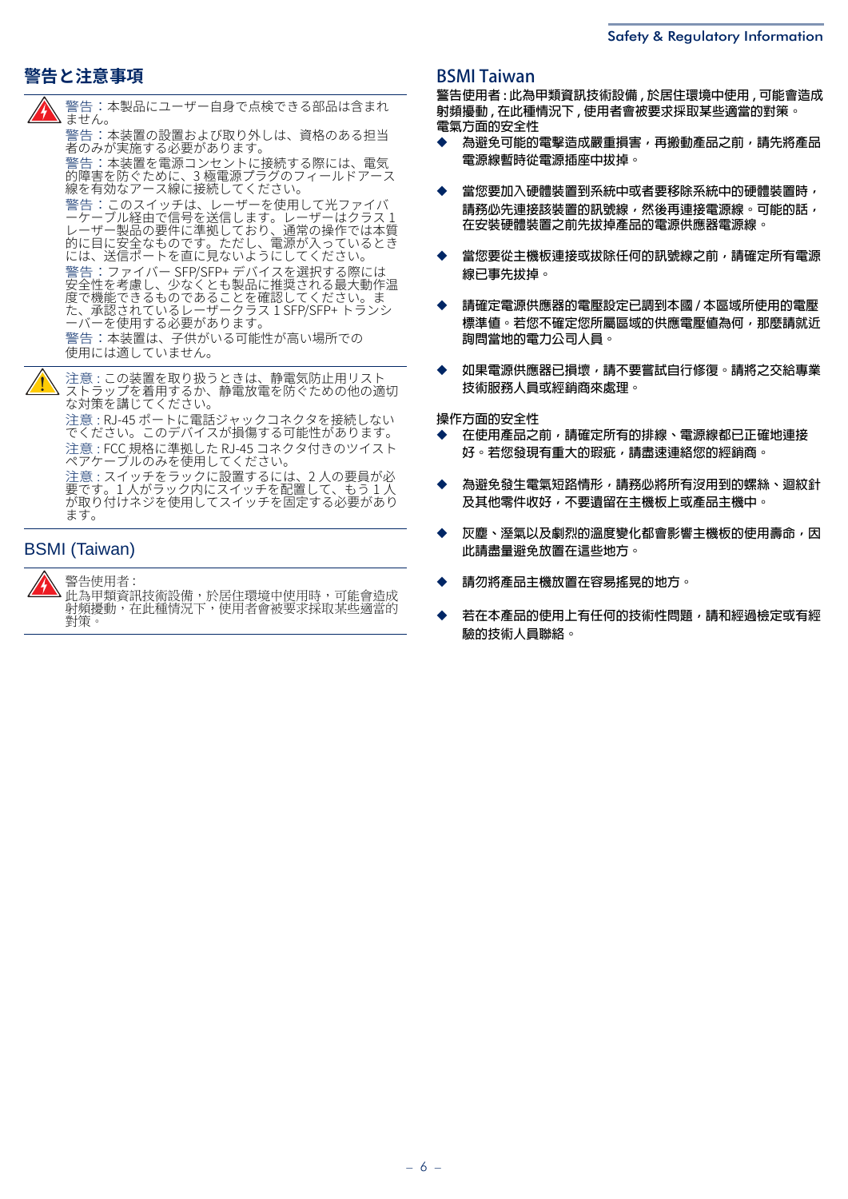## **警告と注意事項**



警告:本製品にユーザー自身で点検できる部品は含まれ ません。

警告:本装置の設置および取り外しは、資格のある担当 者のみが実施する必要があります。 警告:本装置を電源コンセントに接続する際には、電気

的障害を防ぐために、3 極電源プラグのフィールドアース 線を有効なアース線に接続してください。

警告:このスイッチは、レーザーを使用して光ファイバ ーケーフル経由で信号を送信します。レーザーはクラス1 レーザー製品の要件に準拠しており、通常の操作では本質 的に目に安全なものです。ただし、電源が入っているとき には、送信ポートを直に⾒ないようにしてください。 警告:ファイバー SFP/SFP+ デバイスを選択する際には<br>安全性を考慮し、少なくとも製品に推奨される最大動作温 度で機能できるものであることを確認してください。ま た、承認されているレーザークラス 1 SFP/SFP+ トランシ ーバーを使用する必要があります。

警告:本装置は、子供がいる可能性が高い場所での 使用には適していません。

注意 : この装置を取り扱うときは、静電気防止用リスト ストラップを着用するか、静電放電を防ぐための他の適切 な対策を講じてください。

注意: RJ-45 ポートに電話ジャックコネクタを接続しない こください。このデバイスが損傷する可能性があります。 注意 : FCC 規格に準拠した RJ-45 コネクタ付きのツイスト ペアケーブルのみを使用してください。

注意 : スイッチをラックに設置するには、2 人の要員が必 要です。1人かフック内にスイッナを配置して、もっl人 か取り付けネジを使用してスイッナを固定する必要かあり ます。

## BSMI (Taiwan)

警告使用者 : 此為甲類資訊技術設備,於居住環境中使用時,可能會造成 射頻擾動,在此種情況下,使用者會被要求採取某些適當的 對策。

## **BSMI Taiwan**

**警告使用者 : 此為甲類資訊技術設備 , 於居住環境中使用 , 可能會造成 射頻擾動 , 在此種情況下 , 使用者會被要求採取某些適當的對策。 電氣方面的安全性**

- ◆ **為避免可能的電擊造成嚴重損害,再搬動產品之前,請先將產品 電源線暫時從電源插座中拔掉。**
- 當您要加入硬體裝置到系統中或者要移除系統中的硬體裝置時, 請務必先連接該裝置的訊號線,然後再連接電源線。可能的話, **在安裝硬體裝置之前先拔掉產品的電源供應器電源線。**
- **當您要從主機板連接或拔除任何的訊號線之前,請確定所有電源 線已事先拔掉。**
- ◆ **請確定電源供應器的電壓設定已調到本國 / 本區域所使用的電壓 標準值。若您不確定您所屬區域的供應電壓值為何,那麼請就近 詢問當地的電力公司人員。**
- ◆ **如果電源供應器已損壞,請不要嘗試自行修復。請將之交給專業 技術服務人員或經銷商來處理。**

**操作方面的安全性** 

- ◆ **在使用產品之前,請確定所有的排線、電源線都已正確地連接 好。若您發現有重大的瑕疵,請盡速連絡您的經銷商。**
- 為避免發生電氣短路情形,請務必將所有沒用到的螺絲、迴紋針 **及其他零件收好,不要遺留在主機板上或產品主機中。**
- ◆ **灰塵、溼氣以及劇烈的溫度變化都會影響主機板的使用壽命,因 此請盡量避免放置在這些地方。**
- ◆ **請勿將產品主機放置在容易搖晃的地方。**
- ◆ **若在本產品的使用上有任何的技術性問題,請和經過檢定或有經 驗的技術人員聯絡。**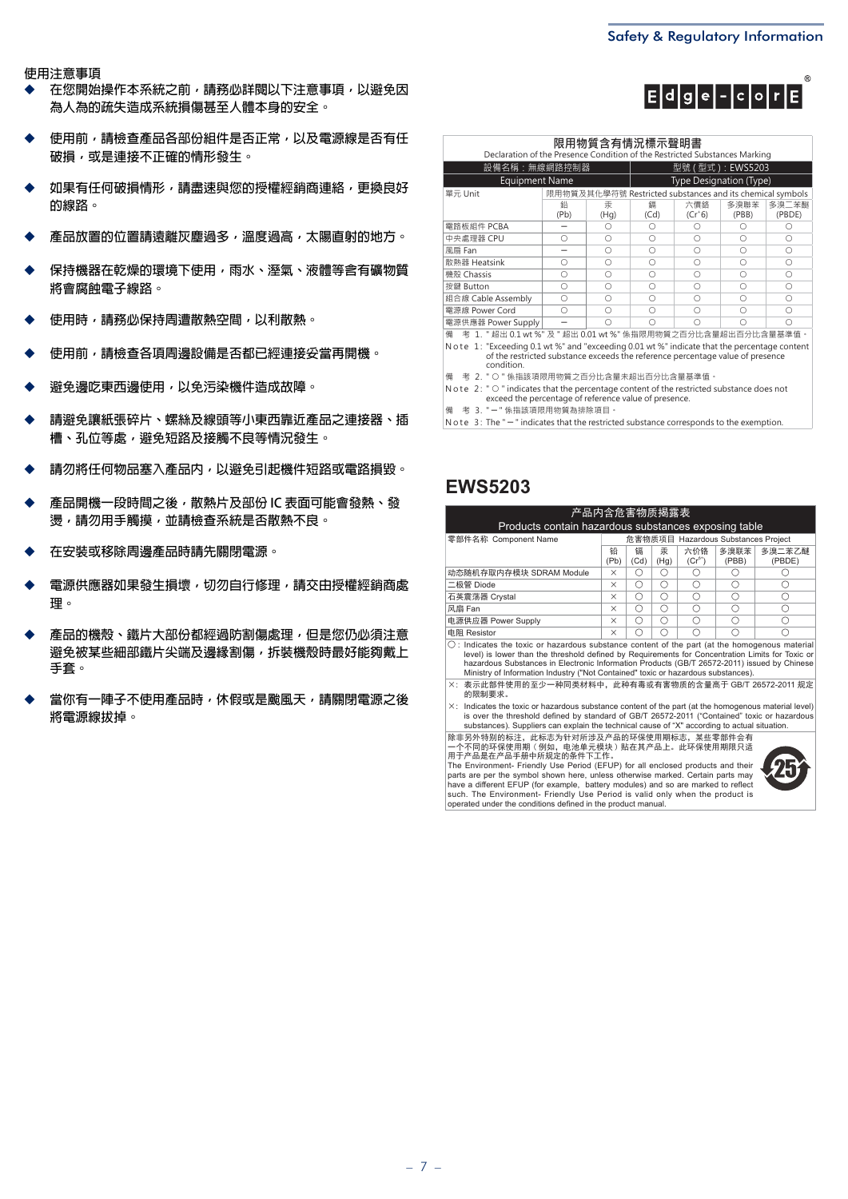$E|d|g|e|-|c|o|r|E|$ 

 $\binom{2}{5}$ 

**使用注意事項** 

- 在您開始操作本系統之前,請務必詳閱以下注意事項,以避免因 **為人為的疏失造成系統損傷甚至人體本身的安全。**
- ◆ **使用前,請檢查產品各部份組件是否正常,以及電源線是否有任 破損,或是連接不正確的情形發生。**
- ◆ **如果有任何破損情形,請盡速與您的授權經銷商連絡,更換良好 的線路。**
- ◆ **產品放置的位置請遠離灰塵過多,溫度過高,太陽直射的地方。**
- 保持機器在乾燥的環境下使用,雨水、溼氣、液體等含有礦物質 **將會腐蝕電子線路。**
- ◆ **使用時,請務必保持周遭散熱空間,以利散熱。**
- ◆ **使用前,請檢查各項周邊設備是否都已經連接妥當再開機。**
- **避免邊吃東西邊使用,以免污染機件造成故障。**
- ◆ **請避免讓紙張碎片、螺絲及線頭等小東西靠近產品之連接器、插 槽、孔位等處,避免短路及接觸不良等情況發生。**
- ◆ **請勿將任何物品塞入產品內,以避免引起機件短路或電路損毀。**
- **產品開機一段時間之後,散熱片及部份 IC 表面可能會發熱、發 燙,請勿用手觸摸,並請檢查系統是否散熱不良。**
- ◆ **在安裝或移除周邊產品時請先關閉電源。**
- **電源供應器如果發生損壞, 切勿自行修理, 請交由授權經銷商處 理。**
- ◆ **產品的機殼、鐵片大部份都經過防割傷處理,但是您仍必須注意 避免被某些細部鐵片尖端及邊緣割傷,拆裝機殼時最好能夠戴上 手套。**
- **當你有一陣子不使用產品時,休假或是颱風天,請關閉電源之後 將電源線拔掉。**

| 限用物質含有情況標示聲明書<br>Declaration of the Presence Condition of the Restricted Substances Marking |            |           |                         |                                                           |               |                 |  |
|---------------------------------------------------------------------------------------------|------------|-----------|-------------------------|-----------------------------------------------------------|---------------|-----------------|--|
| 型號 (型式): EWS5203<br>設備名稱:無線網路控制器                                                            |            |           |                         |                                                           |               |                 |  |
| <b>Equipment Name</b>                                                                       |            |           | Type Designation (Type) |                                                           |               |                 |  |
| 單元 Unit                                                                                     |            |           |                         | 限用物質及其化學符號 Restricted substances and its chemical symbols |               |                 |  |
|                                                                                             | 鉛<br>(Pb)  | 汞<br>(Hq) | 鎘<br>(Cd)               | 六價鉻<br>$(Cr+6)$                                           | 多溴聯苯<br>(PBB) | 多溴二苯醚<br>(PBDE) |  |
| 電路板組件 PCBA                                                                                  |            | ∩         | ∩                       |                                                           |               |                 |  |
| 中央處理器 CPU                                                                                   | ∩          | ∩         | Ω                       | ∩                                                         | ∩             | ∩               |  |
| 風扇 Fan                                                                                      |            | ∩         | ∩<br>Ω<br>Ω             |                                                           |               |                 |  |
| 散熱器 Heatsink                                                                                | ∩          | ∩         | ∩                       | ∩                                                         | Ω             | Ω               |  |
| 機殼 Chassis                                                                                  | ∩          | ∩         | ∩                       | ∩                                                         | Ω             | Ω               |  |
| 按鍵 Button                                                                                   | $\bigcirc$ | ∩         | ∩                       | ∩                                                         | Ω             | ∩               |  |
| 組合線 Cable Assembly                                                                          | ∩          | ∩         | ∩                       | Ω                                                         | Ω             | ∩               |  |
| 電源線 Power Cord                                                                              | ∩          | ∩         | ∩                       |                                                           | ∩             |                 |  |
| 電源供應器 Power Supply                                                                          |            | ∩         | ∩                       |                                                           | ∩             | ∩               |  |
| _考 1. " 超出 0.1 wt %" 及 " 超出 0.01 wt %" 係指限用物質之百分比含量超出百分比含量基準值。<br>備                         |            |           |                         |                                                           |               |                 |  |

備 考 1. " 超岀 0.1 wt %" 及 " 超岀 0.01 wt %" 係指限用物質之白分比含量超岀白分比含量基準值。 N ote 1: "Exceeding 0.1 wt %" and "exceeding 0.01 wt %" indicate that the percentage content<br>of the restricted substance exceeds the reference percentage value of presence

condition.

備 老 2 " ○ " 係指該頂限用物質之百分比含量未超出百分比含量基進值。

N ote 2: " O " indicates that the percentage content of the restricted substance does not<br>exceed the percentage of reference value of presence.

備 考 3. "-" 係指該項限用物質為排除項目。

N ote  $3:$  The " $-$ " indicates that the restricted substance corresponds to the exemption.

## **EWS5203**

| 产品内含危害物质揭露表<br>Products contain hazardous substances exposing table                                     |                                     |           |           |                 |               |                  |
|---------------------------------------------------------------------------------------------------------|-------------------------------------|-----------|-----------|-----------------|---------------|------------------|
| 零部件名称 Component Name                                                                                    | 危害物质项目 Hazardous Substances Project |           |           |                 |               |                  |
|                                                                                                         | 铅<br>(Pb)                           | 镉<br>(Cd) | 汞<br>(Hg) | 六价铬<br>$(Cr^6)$ | 多溴联苯<br>(PBB) | 多溴二苯乙醚<br>(PBDE) |
| 动态随机存取内存模块 SDRAM Module                                                                                 | $\times$                            |           |           |                 |               |                  |
| 二极管 Diode                                                                                               | $\times$                            |           | ⌒         | ⊂               |               |                  |
| 石英震荡器 Crystal                                                                                           | $\times$                            | C         | ∩         | ⊂               |               |                  |
| 风扇 Fan                                                                                                  | $\times$                            | C         | ∩         | ⌒               |               |                  |
| 电源供应器 Power Supply                                                                                      | $\times$                            |           | ⌒         | ⌒               |               |                  |
| 电阻 Resistor                                                                                             | $\times$                            |           |           |                 |               |                  |
| $\bigcirc$ : Indicates the toxic or hazardous substance content of the part (at the homogenous material |                                     |           |           |                 |               |                  |

Ȗ : Indicates the toxic or hazardous substance content of the part (at the homogenous material level) is lower than the threshold defi ned by Requirements for Concentration Limits for Toxic or hazardous Substances in Electronic Information Products (GB/T 26572-2011) issued by Chinese Ministry of Information Industry ("Not Contained" toxic or hazardous substances).

h: 㺞⽰↚䜞Ԭֵ⭞Ⲻ㠩ቇж〃ੂ㊱ᶆᯏѣθ↚〃ᴿ∈ᡌᴿᇩ⢟䍞Ⲻ䠅儎ӄ GB/T 26572-2011 㿺ᇐ Ⲻ䲆㾷≸Ⱦ

h: Indicates the toxic or hazardous substance content of the part (at the homogenous material level) is over the threshold defi ned by standard of GB/T 26572-2011 ("Contained" toxic or hazardous substances). Suppliers can explain the technical cause of "X" according to actual situation.

除非另外特别的标注,此标志为针对所涉及产品的环保使用期标志,某些零部件会有<br>一个不同的环保使用期(例如,电池单元模块)贴在其产品上。此环保使用期限只适<br>用于产品是在产品手册中所规定的条件下工作。



The Environment- Friendly Use Period (EFUP) for all enclosed products and their parts are per the symbol shown here, unless otherwise marked. Certain parts may have a different EFUP (for example, battery modules) and so are marked to reflect<br>such. The Environment- Friendly Use Period is valid only when the product is<br>operated under the conditions defined in the product manual.